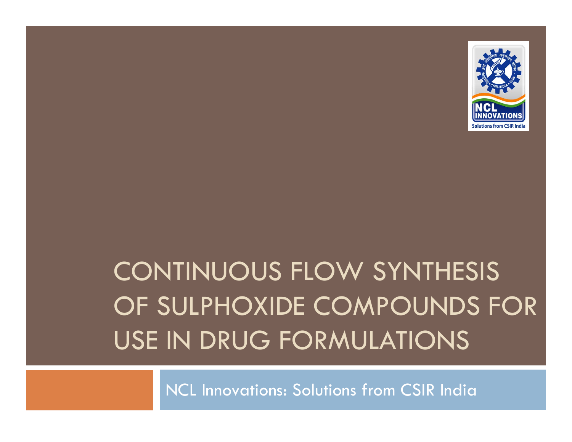

# CONTINUOUS FLOW SYNTHESIS OF SULPHOXIDE COMPOUNDS FOR USE IN DRUG FORMULATIONS

NCL Innovations: Solutions from CSIR India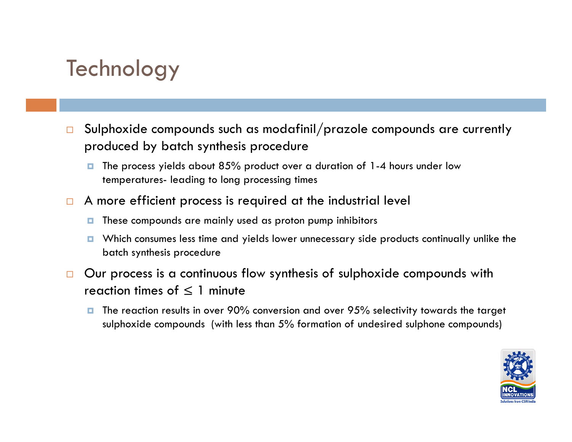#### **Technology**

- $\Box$  Sulphoxide compounds such as modafinil/prazole compounds are currently produced by batch synthesis procedure
	- **T** The process yields about 85% product over a duration of 1-4 hours under low temperatures- leading to long processing times
- $\Box$  A more efficient process is required at the industrial level
	- **T** These compounds are mainly used as proton pump inhibitors
	- **D** Which consumes less time and yields lower unnecessary side products continually unlike the batch synthesis procedure
- $\Box$  Our process is a continuous flow synthesis of sulphoxide compounds with reaction times of  $\leq 1$  minute
	- O. The reaction results in over 90% conversion and over 95% selectivity towards the target sulphoxide compounds (with less than 5% formation of undesired sulphone compounds)

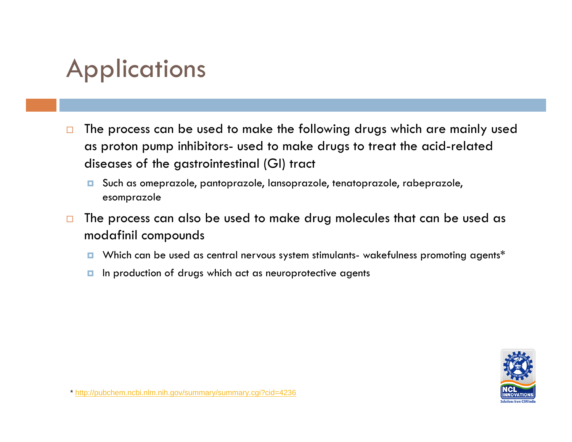## **Applications**

- $\Box$  The process can be used to make the following drugs which are mainly used as proton pump inhibitors- used to make drugs to treat the acid-related diseases of the gastrointestinal (GI) tract
	- Such as omeprazole, pantoprazole, lansoprazole, tenatoprazole, rabeprazole, esomprazole
- $\Box$  The process can also be used to make drug molecules that can be used as modafinil compounds
	- **n** Which can be used as central nervous system stimulants- wakefulness promoting agents\*
	- **n** In production of drugs which act as neuroprotective agents



\* http://pubchem.ncbi.nlm.nih.gov/summary/summary.cgi?cid=4236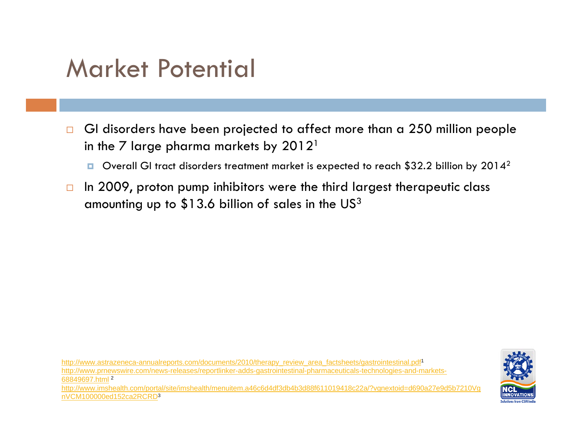#### Market Potential

- $\Box$  GI disorders have been projected to affect more than a 250 million people in the 7 large pharma markets by  $2012<sup>1</sup>$ 
	- $\blacksquare$  Overall GI tract disorders treatment market is expected to reach \$32.2 billion by 2014<sup>2</sup>
- $\Box$ In 2009, proton pump inhibitors were the third largest therapeutic class amounting up to  $$13.6$  billion of sales in the US<sup>3</sup>

http://www.astrazeneca-annualreports.com/documents/2010/therapy\_review\_area\_factsheets/gastrointestinal.pdf http://www.prnewswire.com/news-releases/reportlinker-adds-gastrointestinal-pharmaceuticals-technologies-and-markets-68849697.html <sup>2</sup> http://www.imshealth.com/portal/site/imshealth/menuitem.a46c6d4df3db4b3d88f611019418c22a/?vgnextoid=d690a27e9d5b7210Vg nVCM100000ed152ca2RCRD3

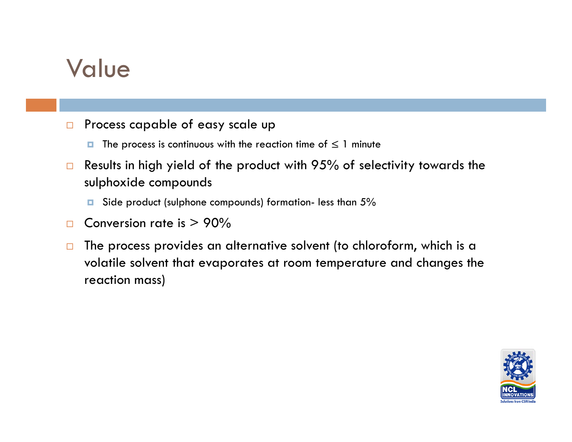#### Value

- $\Box$  Process capable of easy scale up
	- $\blacksquare$  The process is continuous with the reaction time of  $\leq 1$  minute
- $\Box$  Results in high yield of the product with 95% of selectivity towards the sulphoxide compounds
	- O. Side product (sulphone compounds) formation- less than 5%
- $\Box$ Conversion rate is  $> 90\%$
- $\Box$  The process provides an alternative solvent (to chloroform, which is a volatile solvent that evaporates at room temperature and changes the reaction mass)

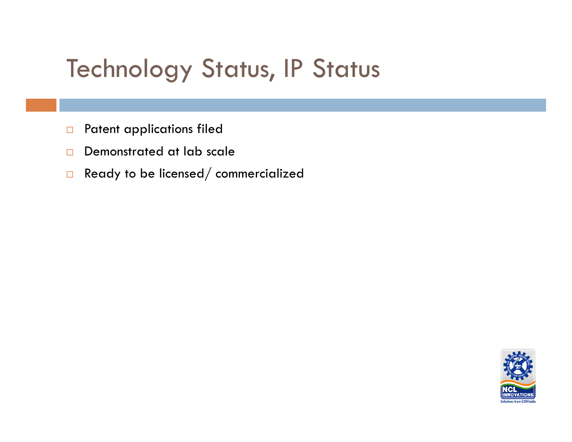## Technology Status, IP Status

- $\Box$ Patent applications filed
- $\Box$ Demonstrated at lab scale
- $\Box$ Ready to be licensed/ commercialized

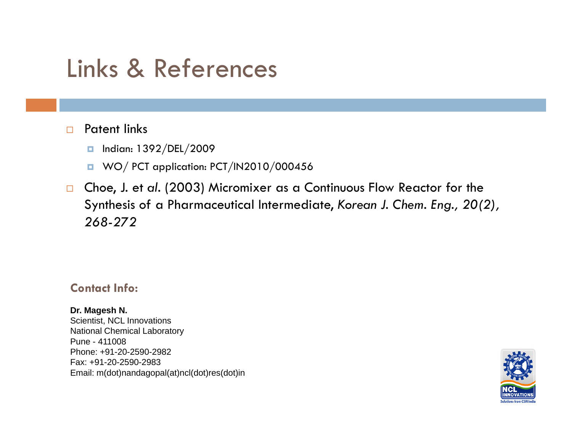#### Links & References

#### $\Box$ Patent links

- Indian: 1392/DEL/2009
- **u** WO/ PCT application: PCT/IN2010/000456
- $\Box$ Choe, J. et al. (2003) Micromixer as a Continuous Flow Reactor for the Synthesis of a Pharmaceutical Intermediate, *Korean J. Chem. Eng., 20(2), 268-272*

#### **Contact Info:**

**Dr. Magesh N.**  Scientist, NCL Innovations National Chemical Laboratory Pune - 411008Phone: +91-20-2590-2982Fax: +91-20-2590-2983 Email: m(dot)nandagopal(at)ncl(dot)res(dot)in